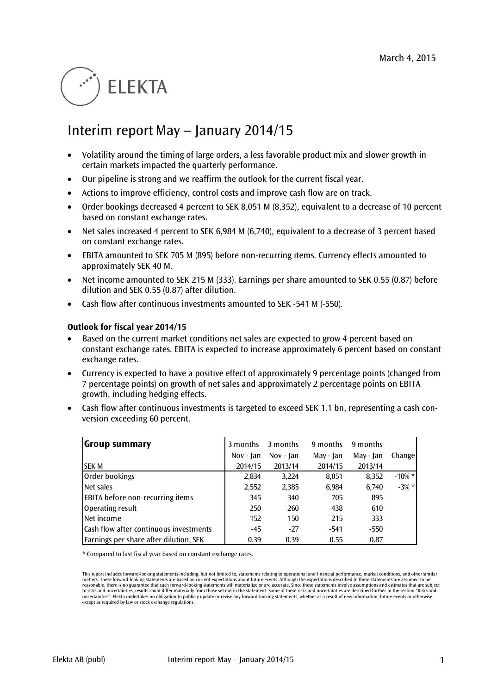# **ELEKTA**

# Interim report May – January 2014/15

- Volatility around the timing of large orders, a less favorable product mix and slower growth in certain markets impacted the quarterly performance.
- Our pipeline is strong and we reaffirm the outlook for the current fiscal year.
- Actions to improve efficiency, control costs and improve cash flow are on track.
- Order bookings decreased 4 percent to SEK 8,051 M (8,352), equivalent to a decrease of 10 percent based on constant exchange rates.
- Net sales increased 4 percent to SEK 6,984 M (6,740), equivalent to a decrease of 3 percent based on constant exchange rates.
- EBITA amounted to SEK 705 M (895) before non-recurring items. Currency effects amounted to approximately SEK 40 M.
- Net income amounted to SEK 215 M (333). Earnings per share amounted to SEK 0.55 (0.87) before dilution and SEK 0.55 (0.87) after dilution.
- Cash flow after continuous investments amounted to SEK -541 M (-550).

#### **Outlook for fiscal year 2014/15**

- Based on the current market conditions net sales are expected to grow 4 percent based on constant exchange rates. EBITA is expected to increase approximately 6 percent based on constant exchange rates.
- Currency is expected to have a positive effect of approximately 9 percentage points (changed from 7 percentage points) on growth of net sales and approximately 2 percentage points on EBITA growth, including hedging effects.
- Cash flow after continuous investments is targeted to exceed SEK 1.1 bn, representing a cash conversion exceeding 60 percent.

| <b>Group summary</b>                    | 3 months  | 3 months    | 9 months  | 9 months  |           |
|-----------------------------------------|-----------|-------------|-----------|-----------|-----------|
|                                         | Nov - Jan | $Nov - Jan$ | May - Jan | May - Jan | Change    |
| <b>SEK M</b>                            | 2014/15   | 2013/14     | 2014/15   | 2013/14   |           |
| Order bookings                          | 2,834     | 3,224       | 8,051     | 8,352     | $-10\%$ * |
| Net sales                               | 2,552     | 2,385       | 6,984     | 6.740     | $-3\% *$  |
| <b>EBITA</b> before non-recurring items | 345       | 340         | 705       | 895       |           |
| Operating result                        | 250       | 260         | 438       | 610       |           |
| Net income                              | 152       | 150         | 215       | 333       |           |
| Cash flow after continuous investments  | $-45$     | $-27$       | -541      | -550      |           |
| Earnings per share after dilution, SEK  | 0.39      | 0.39        | 0.55      | 0.87      |           |

\* Compared to last fiscal year based on constant exchange rates.

This report includes forward-looking statements including, but not limited to, statements relating to operational and financial performance, market conditions, and other similar matters. These forward-looking statements are based on current expectations about future events. Although the expectations described in these statements are assumed to be<br>reasonable, there is no guarantee that such forward to risks and uncertainties, results could differ materially from those set out in the statement. Some of these risks and uncertainties are described further in the section "Risks and uncertainties". Elekta undertakes no obligation to publicly update or revise any forward-looking statements, whether as a result of new information, future events or otherwise, except as required by law or stock exchange regulations.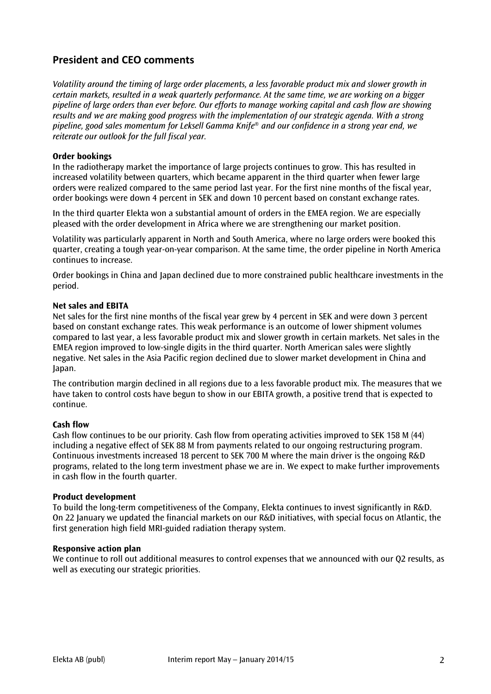# **President and CEO comments**

*Volatility around the timing of large order placements, a less favorable product mix and slower growth in certain markets, resulted in a weak quarterly performance. At the same time, we are working on a bigger pipeline of large orders than ever before. Our efforts to manage working capital and cash flow are showing results and we are making good progress with the implementation of our strategic agenda. With a strong pipeline, good sales momentum for Leksell Gamma Knife*® *and our confidence in a strong year end, we reiterate our outlook for the full fiscal year.*

#### **Order bookings**

In the radiotherapy market the importance of large projects continues to grow. This has resulted in increased volatility between quarters, which became apparent in the third quarter when fewer large orders were realized compared to the same period last year. For the first nine months of the fiscal year, order bookings were down 4 percent in SEK and down 10 percent based on constant exchange rates.

In the third quarter Elekta won a substantial amount of orders in the EMEA region. We are especially pleased with the order development in Africa where we are strengthening our market position.

Volatility was particularly apparent in North and South America, where no large orders were booked this quarter, creating a tough year-on-year comparison. At the same time, the order pipeline in North America continues to increase.

Order bookings in China and Japan declined due to more constrained public healthcare investments in the period.

#### **Net sales and EBITA**

Net sales for the first nine months of the fiscal year grew by 4 percent in SEK and were down 3 percent based on constant exchange rates. This weak performance is an outcome of lower shipment volumes compared to last year, a less favorable product mix and slower growth in certain markets. Net sales in the EMEA region improved to low-single digits in the third quarter. North American sales were slightly negative. Net sales in the Asia Pacific region declined due to slower market development in China and Japan.

The contribution margin declined in all regions due to a less favorable product mix. The measures that we have taken to control costs have begun to show in our EBITA growth, a positive trend that is expected to continue.

#### **Cash flow**

Cash flow continues to be our priority. Cash flow from operating activities improved to SEK 158 M (44) including a negative effect of SEK 88 M from payments related to our ongoing restructuring program. Continuous investments increased 18 percent to SEK 700 M where the main driver is the ongoing R&D programs, related to the long term investment phase we are in. We expect to make further improvements in cash flow in the fourth quarter.

#### **Product development**

To build the long-term competitiveness of the Company, Elekta continues to invest significantly in R&D. On 22 January w[e updated](http://www.elekta.com/dms/elekta/elekta-assets/Investors/pdf/presentations/Elekta-R-and-D-Update.pdf) the financial markets on our R&D initiatives, with special focus on Atlantic, the first generation high field MRI-guided radiation therapy system.

#### **Responsive action plan**

We continue to roll out additional measures to control expenses that we announced with our O2 results, as well as executing our strategic priorities.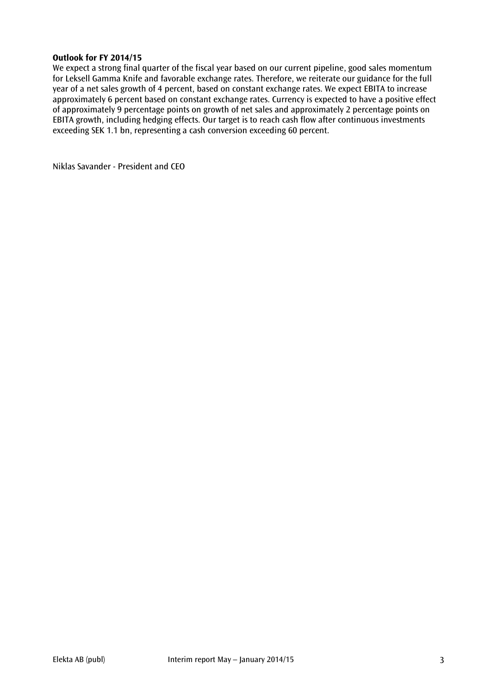#### **Outlook for FY 2014/15**

We expect a strong final quarter of the fiscal year based on our current pipeline, good sales momentum for Leksell Gamma Knife and favorable exchange rates. Therefore, we reiterate our guidance for the full year of a net sales growth of 4 percent, based on constant exchange rates. We expect EBITA to increase approximately 6 percent based on constant exchange rates. Currency is expected to have a positive effect of approximately 9 percentage points on growth of net sales and approximately 2 percentage points on EBITA growth, including hedging effects. Our target is to reach cash flow after continuous investments exceeding SEK 1.1 bn, representing a cash conversion exceeding 60 percent.

Niklas Savander - President and CEO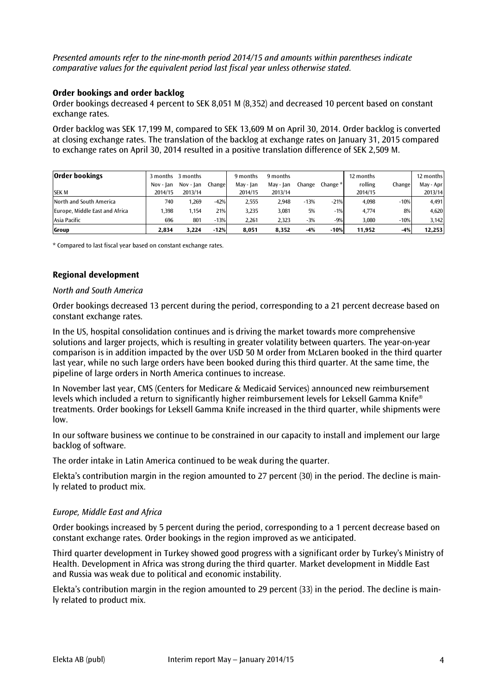*Presented amounts refer to the nine-month period 2014/15 and amounts within parentheses indicate comparative values for the equivalent period last fiscal year unless otherwise stated.*

#### **Order bookings and order backlog**

Order bookings decreased 4 percent to SEK 8,051 M (8,352) and decreased 10 percent based on constant exchange rates.

Order backlog was SEK 17,199 M, compared to SEK 13,609 M on April 30, 2014. Order backlog is converted at closing exchange rates. The translation of the backlog at exchange rates on January 31, 2015 compared to exchange rates on April 30, 2014 resulted in a positive translation difference of SEK 2,509 M.

| <b>Order bookings</b>          |           | 3 months 3 months |        | 9 months  | 9 months  |        |            | 12 months |        | 12 months |
|--------------------------------|-----------|-------------------|--------|-----------|-----------|--------|------------|-----------|--------|-----------|
|                                | Nov - Jan | Nov - Ian         | Change | May - Jan | May - Jan | Change | Change $*$ | rolling   | Change | May - Apr |
| <b>SEK M</b>                   | 2014/15   | 2013/14           |        | 2014/15   | 2013/14   |        |            | 2014/15   |        | 2013/14   |
| North and South America        | 740       | .269              | $-42%$ | 2.555     | 2.948     | $-13%$ | $-21%$     | 4.098     | $-10%$ | 4,491     |
| Europe, Middle East and Africa | .398      | 1.154             | 21%    | 3.235     | 3,081     | 5%     | $-1%$      | 4.774     | 8%     | 4,620     |
| Asia Pacific                   | 696       | 801               | $-13%$ | 2.261     | 2.323     | $-3%$  | $-9%$      | 3,080     | $-10%$ | 3,142     |
| Group                          | 2.834     | 3.224             | $-12%$ | 8,051     | 8.352     | -4%    | $-10%$     | 11.952    | $-4%$  | 12,253    |

\* Compared to last fiscal year based on constant exchange rates.

#### **Regional development**

#### *North and South America*

Order bookings decreased 13 percent during the period, corresponding to a 21 percent decrease based on constant exchange rates.

In the US, hospital consolidation continues and is driving the market towards more comprehensive solutions and larger projects, which is resulting in greater volatility between quarters. The year-on-year comparison is in addition impacted by the over USD 50 M order from McLaren booked in the third quarter last year, while no such large orders have been booked during this third quarter. At the same time, the pipeline of large orders in North America continues to increase.

In November last year, CMS (Centers for Medicare & Medicaid Services) announced new reimbursement levels which included a return to significantly higher reimbursement levels for Leksell Gamma Knife® treatments. Order bookings for Leksell Gamma Knife increased in the third quarter, while shipments were low.

In our software business we continue to be constrained in our capacity to install and implement our large backlog of software.

The order intake in Latin America continued to be weak during the quarter.

Elekta's contribution margin in the region amounted to 27 percent (30) in the period. The decline is mainly related to product mix.

#### *Europe, Middle East and Africa*

Order bookings increased by 5 percent during the period, corresponding to a 1 percent decrease based on constant exchange rates. Order bookings in the region improved as we anticipated.

Third quarter development in Turkey showed good progress with a significant order by Turkey's Ministry of Health. Development in Africa was strong during the third quarter. Market development in Middle East and Russia was weak due to political and economic instability.

Elekta's contribution margin in the region amounted to 29 percent (33) in the period. The decline is mainly related to product mix.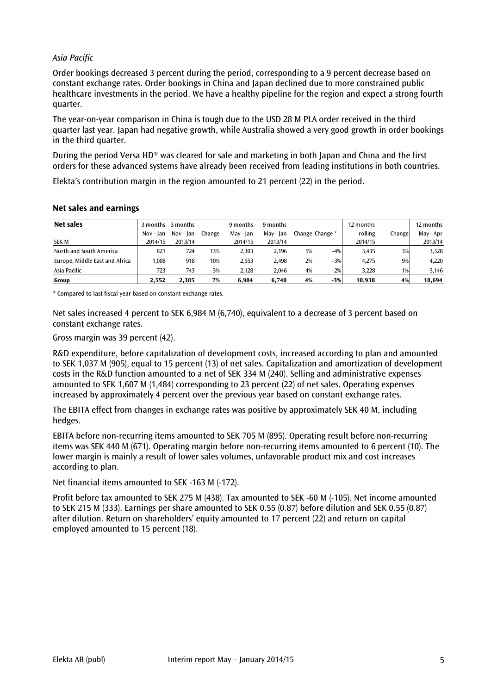# *Asia Pacific*

Order bookings decreased 3 percent during the period, corresponding to a 9 percent decrease based on constant exchange rates. Order bookings in China and Japan declined due to more constrained public healthcare investments in the period. We have a healthy pipeline for the region and expect a strong fourth quarter.

The year-on-year comparison in China is tough due to the USD 28 M PLA order received in the third quarter last year. Japan had negative growth, while Australia showed a very good growth in order bookings in the third quarter.

During the period Versa HD® was cleared for sale and marketing in both Japan and China and the first orders for these advanced systems have already been received from leading institutions in both countries.

Elekta's contribution margin in the region amounted to 21 percent (22) in the period.

| Net sales                      | 3 months  | 3 months  |         | 9 months  | 9 months  |    |                 | 12 months |        | 12 months |
|--------------------------------|-----------|-----------|---------|-----------|-----------|----|-----------------|-----------|--------|-----------|
|                                | Nov - Ian | Nov - Jan | Changel | May - Jan | May - Ian |    | Change Change * | rolling   | Change | May - Apr |
| <b>SEK M</b>                   | 2014/15   | 2013/14   |         | 2014/15   | 2013/14   |    |                 | 2014/15   |        | 2013/14   |
| North and South America        | 821       | 724       | 13%     | 2,303     | 2.196     | 5% | $-4%$           | 3,435     | 3%     | 3,328     |
| Europe, Middle East and Africa | 1,008     | 918       | 10%     | 2,553     | 2.498     | 2% | $-3%$           | 4.275     | 9%     | 4,220     |
| Asia Pacific                   | 723       | 743       | $-3%$   | 2.128     | 2.046     | 4% | $-2%$           | 3,228     | $1\%$  | 3,146     |
| Group                          | 2.552     | 2.385     | 7%      | 6.984     | 6.740     | 4% | $-3%$           | 10.938    | 4%     | 10,694    |

#### **Net sales and earnings**

\* Compared to last fiscal year based on constant exchange rates.

Net sales increased 4 percent to SEK 6,984 M (6,740), equivalent to a decrease of 3 percent based on constant exchange rates.

Gross margin was 39 percent (42).

R&D expenditure, before capitalization of development costs, increased according to plan and amounted to SEK 1,037 M (905), equal to 15 percent (13) of net sales. Capitalization and amortization of development costs in the R&D function amounted to a net of SEK 334 M (240). Selling and administrative expenses amounted to SEK 1,607 M (1,484) corresponding to 23 percent (22) of net sales. Operating expenses increased by approximately 4 percent over the previous year based on constant exchange rates.

The EBITA effect from changes in exchange rates was positive by approximately SEK 40 M, including hedges.

EBITA before non-recurring items amounted to SEK 705 M (895). Operating result before non-recurring items was SEK 440 M (671). Operating margin before non-recurring items amounted to 6 percent (10). The lower margin is mainly a result of lower sales volumes, unfavorable product mix and cost increases according to plan.

Net financial items amounted to SEK -163 M (-172).

Profit before tax amounted to SEK 275 M (438). Tax amounted to SEK -60 M (-105). Net income amounted to SEK 215 M (333). Earnings per share amounted to SEK 0.55 (0.87) before dilution and SEK 0.55 (0.87) after dilution. Return on shareholders' equity amounted to 17 percent (22) and return on capital employed amounted to 15 percent (18).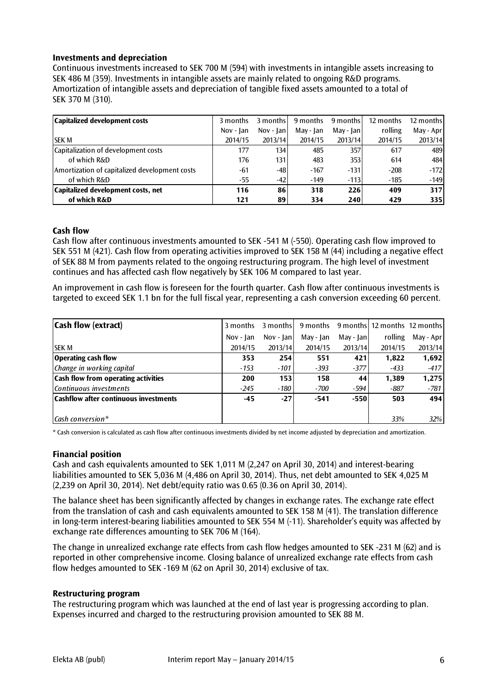# **Investments and depreciation**

Continuous investments increased to SEK 700 M (594) with investments in intangible assets increasing to SEK 486 M (359). Investments in intangible assets are mainly related to ongoing R&D programs. Amortization of intangible assets and depreciation of tangible fixed assets amounted to a total of SEK 370 M (310).

| Capitalized development costs                 | 3 months    | 3 months     | 9 months  | 9 months  | 12 months | 12 months |
|-----------------------------------------------|-------------|--------------|-----------|-----------|-----------|-----------|
|                                               | $Nov - Jan$ | $Nov -  an $ | May - Jan | May - Jan | rolling   | May - Apr |
| <b>SEK M</b>                                  | 2014/15     | 2013/14      | 2014/15   | 2013/14   | 2014/15   | 2013/14   |
| Capitalization of development costs           | 177         | 134          | 485       | 357       | 617       | 489       |
| of which R&D                                  | 176         | 131          | 483       | 353       | 614       | 484       |
| Amortization of capitalized development costs | -61         | $-48$        | $-167$    | $-131$    | $-208$    | $-172$    |
| of which R&D                                  | $-55$       | $-42$        | $-149$    | $-113$    | $-185$    | $-149$    |
| Capitalized development costs, net            | 116         | 86           | 318       | 226       | 409       | 317       |
| of which R&D                                  | 121         | 89           | 334       | 240       | 429       | 335       |

#### **Cash flow**

Cash flow after continuous investments amounted to SEK -541 M (-550). Operating cash flow improved to SEK 551 M (421). Cash flow from operating activities improved to SEK 158 M (44) including a negative effect of SEK 88 M from payments related to the ongoing restructuring program. The high level of investment continues and has affected cash flow negatively by SEK 106 M compared to last year.

An improvement in cash flow is foreseen for the fourth quarter. Cash flow after continuous investments is targeted to exceed SEK 1.1 bn for the full fiscal year, representing a cash conversion exceeding 60 percent.

| <b>Cash flow (extract)</b>                 | 3 months  | 3 months  | 9 months  |              | 9 months   12 months 12 months |           |
|--------------------------------------------|-----------|-----------|-----------|--------------|--------------------------------|-----------|
|                                            | Nov - Jan | Nov - Jan | May - Jan | May - $ an $ | rolling                        | May - Apr |
| <b>SEK M</b>                               | 2014/15   | 2013/14   | 2014/15   | 2013/14      | 2014/15                        | 2013/14   |
| <b>Operating cash flow</b>                 | 353       | 254       | 551       | 421          | 1,822                          | 1,692     |
| Change in working capital                  | $-153$    | $-101$    | $-393$    | $-377$       | $-433$                         | $-417$    |
| <b>Cash flow from operating activities</b> | 200       | 153       | 158       | 44           | 1.389                          | 1,275     |
| Continuous investments                     | $-245$    | $-180$    | $-700$    | -594         | $-887$                         | -781      |
| Cashflow after continuous investments      | -45       | $-27$     | $-541$    | $-550$       | 503                            | 494       |
|                                            |           |           |           |              |                                |           |
| $\mathsf{Cash}\,\mathsf{conversion}\,^*$   |           |           |           |              | 33%                            | 32%       |

\* Cash conversion is calculated as cash flow after continuous investments divided by net income adjusted by depreciation and amortization.

#### **Financial position**

Cash and cash equivalents amounted to SEK 1,011 M (2,247 on April 30, 2014) and interest-bearing liabilities amounted to SEK 5,036 M (4,486 on April 30, 2014). Thus, net debt amounted to SEK 4,025 M (2,239 on April 30, 2014). Net debt/equity ratio was 0.65 (0.36 on April 30, 2014).

The balance sheet has been significantly affected by changes in exchange rates. The exchange rate effect from the translation of cash and cash equivalents amounted to SEK 158 M (41). The translation difference in long-term interest-bearing liabilities amounted to SEK 554 M (-11). Shareholder's equity was affected by exchange rate differences amounting to SEK 706 M (164).

The change in unrealized exchange rate effects from cash flow hedges amounted to SEK -231 M (62) and is reported in other comprehensive income. Closing balance of unrealized exchange rate effects from cash flow hedges amounted to SEK -169 M (62 on April 30, 2014) exclusive of tax.

#### **Restructuring program**

The restructuring program which was launched at the end of last year is progressing according to plan. Expenses incurred and charged to the restructuring provision amounted to SEK 88 M.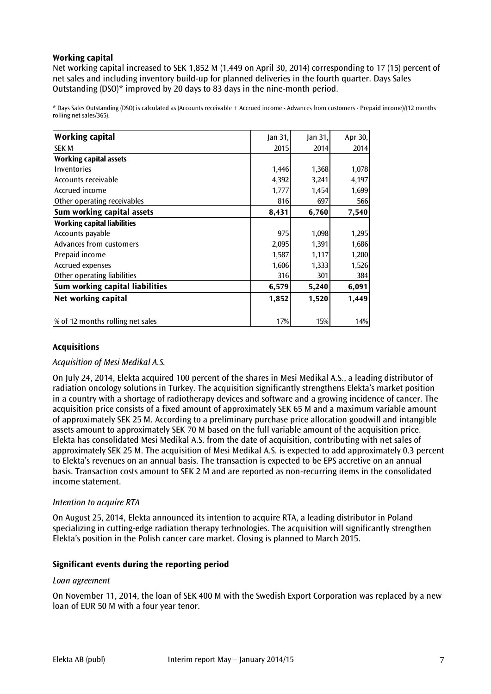# **Working capital**

Net working capital increased to SEK 1,852 M (1,449 on April 30, 2014) corresponding to 17 (15) percent of net sales and including inventory build-up for planned deliveries in the fourth quarter. Days Sales Outstanding (DSO)\* improved by 20 days to 83 days in the nine-month period.

\* Days Sales Outstanding (DSO) is calculated as (Accounts receivable + Accrued income - Advances from customers - Prepaid income)/(12 months rolling net sales/365).

| <b>Working capital</b>             | Jan 31, | an 31 | Apr 30, |
|------------------------------------|---------|-------|---------|
| ISEK M                             | 2015    | 2014  | 2014    |
| <b>Working capital assets</b>      |         |       |         |
| Inventories                        | 1,446   | 1,368 | 1,078   |
| Accounts receivable                | 4,392   | 3,241 | 4,197   |
| Accrued income                     | 1,777   | 1,454 | 1,699   |
| Other operating receivables        | 816     | 697   | 566     |
| Sum working capital assets         | 8,431   | 6,760 | 7,540   |
| <b>Working capital liabilities</b> |         |       |         |
| Accounts payable                   | 975     | 1,098 | 1,295   |
| Advances from customers            | 2,095   | 1,391 | 1,686   |
| Prepaid income                     | 1,587   | 1,117 | 1,200   |
| <b>Accrued expenses</b>            | 1,606   | 1,333 | 1,526   |
| Other operating liabilities        | 316     | 301   | 384     |
| Sum working capital liabilities    | 6,579   | 5,240 | 6,091   |
| Net working capital                | 1,852   | 1,520 | 1,449   |
|                                    |         |       |         |
| % of 12 months rolling net sales   | 17%     | 15%   | 14%     |

# **Acquisitions**

#### *Acquisition of Mesi Medikal A.S.*

On July 24, 2014, Elekta acquired 100 percent of the shares in Mesi Medikal A.S., a leading distributor of radiation oncology solutions in Turkey. The acquisition significantly strengthens Elekta's market position in a country with a shortage of radiotherapy devices and software and a growing incidence of cancer. The acquisition price consists of a fixed amount of approximately SEK 65 M and a maximum variable amount of approximately SEK 25 M. According to a preliminary purchase price allocation goodwill and intangible assets amount to approximately SEK 70 M based on the full variable amount of the acquisition price. Elekta has consolidated Mesi Medikal A.S. from the date of acquisition, contributing with net sales of approximately SEK 25 M. The acquisition of Mesi Medikal A.S. is expected to add approximately 0.3 percent to Elekta's revenues on an annual basis. The transaction is expected to be EPS accretive on an annual basis. Transaction costs amount to SEK 2 M and are reported as non-recurring items in the consolidated income statement.

#### *Intention to acquire RTA*

On August 25, 2014, Elekta announced its intention to acquire RTA, a leading distributor in Poland specializing in cutting-edge radiation therapy technologies. The acquisition will significantly strengthen Elekta's position in the Polish cancer care market. Closing is planned to March 2015.

#### **Significant events during the reporting period**

#### *Loan agreement*

On November 11, 2014, the loan of SEK 400 M with the Swedish Export Corporation was replaced by a new loan of EUR 50 M with a four year tenor.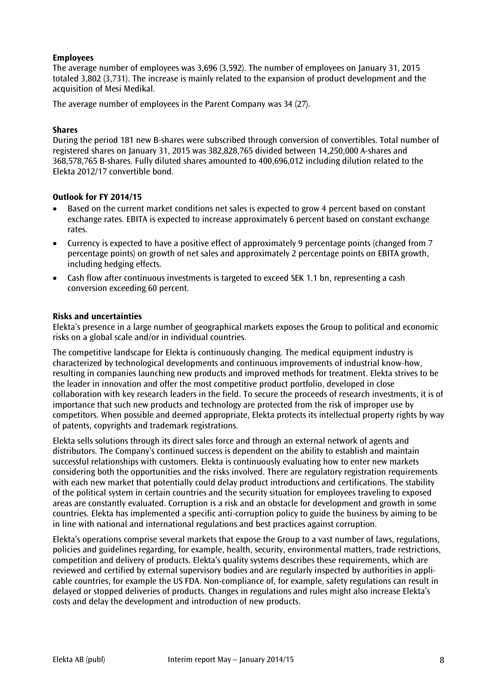# **Employees**

The average number of employees was 3,696 (3,592). The number of employees on January 31, 2015 totaled 3,802 (3,731). The increase is mainly related to the expansion of product development and the acquisition of Mesi Medikal.

The average number of employees in the Parent Company was 34 (27).

#### **Shares**

During the period 181 new B-shares were subscribed through conversion of convertibles. Total number of registered shares on January 31, 2015 was 382,828,765 divided between 14,250,000 A-shares and 368,578,765 B-shares. Fully diluted shares amounted to 400,696,012 including dilution related to the Elekta 2012/17 convertible bond.

#### **Outlook for FY 2014/15**

- Based on the current market conditions net sales is expected to grow 4 percent based on constant exchange rates. EBITA is expected to increase approximately 6 percent based on constant exchange rates.
- Currency is expected to have a positive effect of approximately 9 percentage points (changed from 7 percentage points) on growth of net sales and approximately 2 percentage points on EBITA growth, including hedging effects.
- Cash flow after continuous investments is targeted to exceed SEK 1.1 bn, representing a cash conversion exceeding 60 percent.

#### **Risks and uncertainties**

Elekta's presence in a large number of geographical markets exposes the Group to political and economic risks on a global scale and/or in individual countries.

The competitive landscape for Elekta is continuously changing. The medical equipment industry is characterized by technological developments and continuous improvements of industrial know-how, resulting in companies launching new products and improved methods for treatment. Elekta strives to be the leader in innovation and offer the most competitive product portfolio, developed in close collaboration with key research leaders in the field. To secure the proceeds of research investments, it is of importance that such new products and technology are protected from the risk of improper use by competitors. When possible and deemed appropriate, Elekta protects its intellectual property rights by way of patents, copyrights and trademark registrations.

Elekta sells solutions through its direct sales force and through an external network of agents and distributors. The Company's continued success is dependent on the ability to establish and maintain successful relationships with customers. Elekta is continuously evaluating how to enter new markets considering both the opportunities and the risks involved. There are regulatory registration requirements with each new market that potentially could delay product introductions and certifications. The stability of the political system in certain countries and the security situation for employees traveling to exposed areas are constantly evaluated. Corruption is a risk and an obstacle for development and growth in some countries. Elekta has implemented a specific anti-corruption policy to guide the business by aiming to be in line with national and international regulations and best practices against corruption.

Elekta's operations comprise several markets that expose the Group to a vast number of laws, regulations, policies and guidelines regarding, for example, health, security, environmental matters, trade restrictions, competition and delivery of products. Elekta's quality systems describes these requirements, which are reviewed and certified by external supervisory bodies and are regularly inspected by authorities in applicable countries, for example the US FDA. Non-compliance of, for example, safety regulations can result in delayed or stopped deliveries of products. Changes in regulations and rules might also increase Elekta's costs and delay the development and introduction of new products.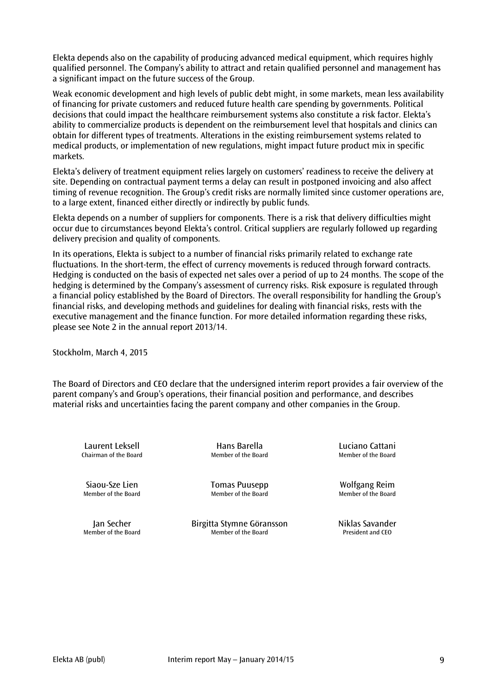Elekta depends also on the capability of producing advanced medical equipment, which requires highly qualified personnel. The Company's ability to attract and retain qualified personnel and management has a significant impact on the future success of the Group.

Weak economic development and high levels of public debt might, in some markets, mean less availability of financing for private customers and reduced future health care spending by governments. Political decisions that could impact the healthcare reimbursement systems also constitute a risk factor. Elekta's ability to commercialize products is dependent on the reimbursement level that hospitals and clinics can obtain for different types of treatments. Alterations in the existing reimbursement systems related to medical products, or implementation of new regulations, might impact future product mix in specific markets.

Elekta's delivery of treatment equipment relies largely on customers' readiness to receive the delivery at site. Depending on contractual payment terms a delay can result in postponed invoicing and also affect timing of revenue recognition. The Group's credit risks are normally limited since customer operations are, to a large extent, financed either directly or indirectly by public funds.

Elekta depends on a number of suppliers for components. There is a risk that delivery difficulties might occur due to circumstances beyond Elekta's control. Critical suppliers are regularly followed up regarding delivery precision and quality of components.

In its operations, Elekta is subject to a number of financial risks primarily related to exchange rate fluctuations. In the short-term, the effect of currency movements is reduced through forward contracts. Hedging is conducted on the basis of expected net sales over a period of up to 24 months. The scope of the hedging is determined by the Company's assessment of currency risks. Risk exposure is regulated through a financial policy established by the Board of Directors. The overall responsibility for handling the Group's financial risks, and developing methods and guidelines for dealing with financial risks, rests with the executive management and the finance function. For more detailed information regarding these risks, please see Note 2 in the annual report 2013/14.

Stockholm, March 4, 2015

The Board of Directors and CEO declare that the undersigned interim report provides a fair overview of the parent company's and Group's operations, their financial position and performance, and describes material risks and uncertainties facing the parent company and other companies in the Group.

Laurent Leksell **Example 2** Hans Barella<br>Chairman of the Board **Chairman of the Board** Chairman of the Board Chairman of the Board Chairman of the Board

Siaou-Sze Lien Tomas Puusepp Wolfgang Reim<br>Member of the Board Member of the Board Member of the Board Member of the Board

Jan Secher **1988** Birgitta Stymne Göransson **Niklas Savander** Niklas Savander<br>Member of the Board Member of the Board President and CEO Member of the Board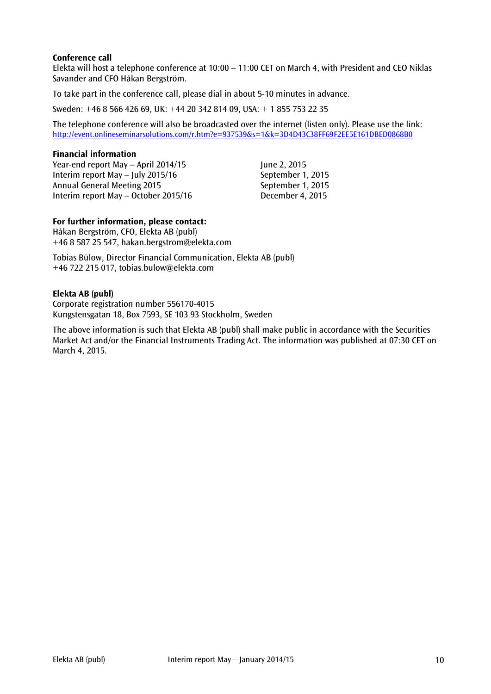# **Conference call**

Elekta will host a telephone conference at 10:00 – 11:00 CET on March 4, with President and CEO Niklas Savander and CFO Håkan Bergström.

To take part in the conference call, please dial in about 5-10 minutes in advance.

Sweden: +46 8 566 426 69, UK: +44 20 342 814 09, USA: + 1 855 753 22 35

The telephone conference will also be broadcasted over the internet (listen only). Please use the link: <http://event.onlineseminarsolutions.com/r.htm?e=937539&s=1&k=3D4D43C38FF69F2EE5E161DBED0868B0>

#### **Financial information**

Year-end report May – April  $2014/15$  June 2, 2015 Interim report May – July 2015/16 September 1, 2015 Annual General Meeting 2015 September 1, 2015 Interim report May – October 2015/16 December 4, 2015

# **For further information, please contact:**

Håkan Bergström, CFO, Elekta AB (publ) +46 8 587 25 547, hakan.bergstrom@elekta.com

Tobias Bülow, Director Financial Communication, Elekta AB (publ) +46 722 215 017, tobias.bulow@elekta.com

#### **Elekta AB (publ)**

Corporate registration number 556170-4015 Kungstensgatan 18, Box 7593, SE 103 93 Stockholm, Sweden

The above information is such that Elekta AB (publ) shall make public in accordance with the Securities Market Act and/or the Financial Instruments Trading Act. The information was published at 07:30 CET on March 4, 2015.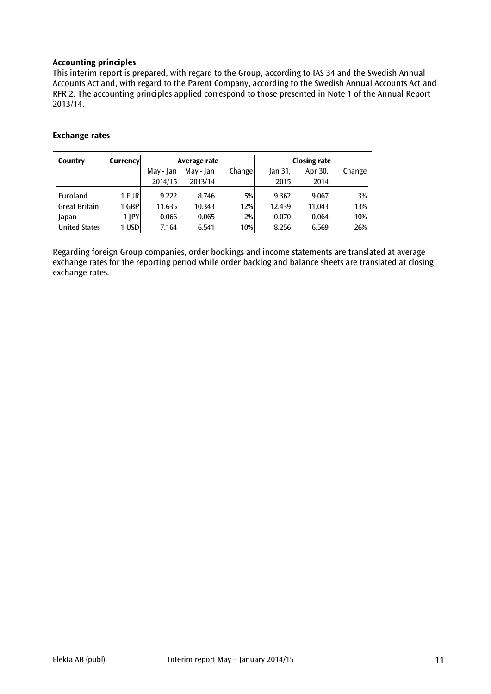# **Accounting principles**

This interim report is prepared, with regard to the Group, according to IAS 34 and the Swedish Annual Accounts Act and, with regard to the Parent Company, according to the Swedish Annual Accounts Act and RFR 2. The accounting principles applied correspond to those presented in Note 1 of the Annual Report 2013/14.

# **Exchange rates**

| Country              | Currencyl  | Average rate |           |         |         | <b>Closing rate</b> |        |
|----------------------|------------|--------------|-----------|---------|---------|---------------------|--------|
|                      |            | May - Jan    | May - Jan | Changel | Jan 31, | Apr 30,             | Change |
|                      |            | 2014/15      | 2013/14   |         | 2015    | 2014                |        |
| Euroland             | 1 EURI     | 9.222        | 8.746     | 5%      | 9.362   | 9.067               | 3%     |
| <b>Great Britain</b> | 1 GBP      | 11.635       | 10.343    | 12%     | 12.439  | 11.043              | 13%    |
| Japan                | $1$ $ PY $ | 0.066        | 0.065     | 2%      | 0.070   | 0.064               | 10%    |
| <b>United States</b> | 1 USD      | 7.164        | 6.541     | 10%     | 8.256   | 6.569               | 26%    |

Regarding foreign Group companies, order bookings and income statements are translated at average exchange rates for the reporting period while order backlog and balance sheets are translated at closing exchange rates.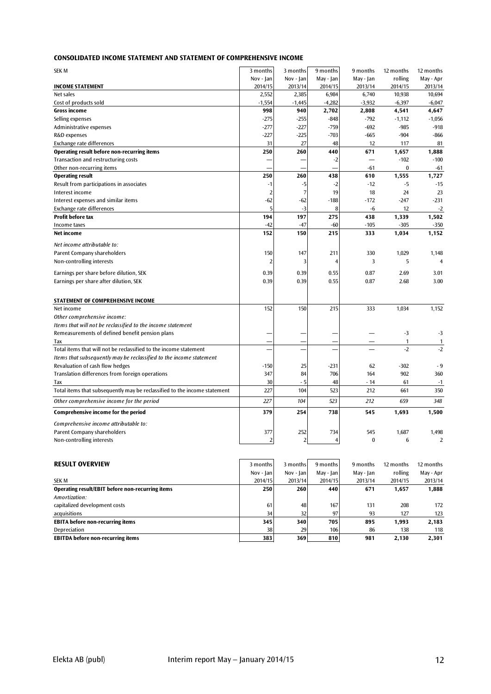| <b>SEK M</b>                                                              | 3 months       | 3 months                | 9 months       | 9 months  | 12 months    | 12 months      |
|---------------------------------------------------------------------------|----------------|-------------------------|----------------|-----------|--------------|----------------|
|                                                                           | Nov - Jan      | Nov - Jan               | May - Jan      | May - Jan | rolling      | May - Apr      |
| <b>INCOME STATEMENT</b>                                                   | 2014/15        | 2013/14                 | 2014/15        | 2013/14   | 2014/15      | 2013/14        |
| Net sales                                                                 | 2,552          | 2,385                   | 6,984          | 6,740     | 10,938       | 10,694         |
| Cost of products sold                                                     | $-1,554$       | $-1,445$                | $-4,282$       | $-3,932$  | $-6,397$     | $-6,047$       |
| <b>Gross income</b>                                                       | 998            | 940                     | 2,702          | 2,808     | 4,541        | 4,647          |
| Selling expenses                                                          | $-275$         | $-255$                  | $-848$         | $-792$    | $-1,112$     | $-1,056$       |
| Administrative expenses                                                   | $-277$         | $-227$                  | $-759$         | $-692$    | $-985$       | $-918$         |
| R&D expenses                                                              | $-227$         | $-225$                  | $-703$         | $-665$    | $-904$       | $-866$         |
| Exchange rate differences                                                 | 31             | 27                      | 48             | 12        | 117          | 81             |
| Operating result before non-recurring items                               | 250            | 260                     | 440            | 671       | 1,657        | 1,888          |
| Transaction and restructuring costs                                       |                |                         | -2             |           | $-102$       | $-100$         |
| Other non-recurring items                                                 |                |                         |                | -61       | $\bf{0}$     | $-61$          |
| <b>Operating result</b>                                                   | 250            | 260                     | 438            | 610       | 1,555        | 1,727          |
| Result from participations in associates                                  | $-1$           | $-5$                    | $-2$           | $-12$     | $-5$         | $-15$          |
| Interest income                                                           | $\overline{2}$ | $\overline{7}$          | 19             | 18        | 24           | 23             |
| Interest expenses and similar items                                       | -62            | $-62$                   | $-188$         | $-172$    | $-247$       | $-231$         |
| Exchange rate differences                                                 | 5              | -3                      | 8              | -6        | 12           | $-2$           |
| <b>Profit before tax</b>                                                  | 194            | 197                     | 275            | 438       | 1,339        | 1,502          |
| Income taxes                                                              | $-42$          | $-47$                   | $-60$          | $-105$    | $-305$       | $-350$         |
| Net income                                                                | 152            | 150                     | 215            | 333       | 1,034        | 1,152          |
| Net income attributable to:                                               |                |                         |                |           |              |                |
| Parent Company shareholders                                               | 150            | 147                     | 211            | 330       | 1,029        | 1,148          |
| Non-controlling interests                                                 | $\overline{2}$ | 3                       | 4              | 3         | 5            | $\overline{4}$ |
|                                                                           |                |                         |                |           |              |                |
| Earnings per share before dilution, SEK                                   | 0.39           | 0.39                    | 0.55           | 0.87      | 2.69         | 3.01           |
| Earnings per share after dilution, SEK                                    | 0.39           | 0.39                    | 0.55           | 0.87      | 2.68         | 3.00           |
| STATEMENT OF COMPREHENSIVE INCOME                                         |                |                         |                |           |              |                |
| Net income                                                                | 152            | 150                     | 215            | 333       | 1,034        | 1,152          |
| Other comprehensive income:                                               |                |                         |                |           |              |                |
| Items that will not be reclassified to the income statement               |                |                         |                |           |              |                |
| Remeasurements of defined benefit pension plans                           |                |                         |                |           | $-3$         | $-3$           |
| Tax                                                                       |                |                         |                |           | $\mathbf{1}$ | $\mathbf{1}$   |
| Total items that will not be reclassified to the income statement         |                |                         |                |           | $-2$         | $-2$           |
| Items that subsequently may be reclassified to the income statement       |                |                         |                |           |              |                |
| Revaluation of cash flow hedges                                           | $-150$         | 25                      | $-231$         | 62        | $-302$       | $-9$           |
| Translation differences from foreign operations                           | 347            | 84                      | 706            | 164       | 902          | 360            |
| Tax                                                                       | 30             | - 5                     | 48             | - 14      | 61           | $-1$           |
| Total items that subsequently may be reclassified to the income statement | 227            | 104                     | 523            | 212       | 661          | 350            |
| Other comprehensive income for the period                                 | 227            | 104                     | 523            | 212       | 659          | 348            |
| <b>Comprehensive income for the period</b>                                | 379            | 254                     | 738            | 545       | 1,693        | 1,500          |
| Comprehensive income attributable to:                                     |                |                         |                |           |              |                |
| <b>Parent Company shareholders</b>                                        | 377            | 252                     | 734            | 545       | 1,687        | 1,498          |
| Non-controlling interests                                                 | $\overline{2}$ | $\overline{\mathbf{c}}$ | $\overline{4}$ | $\bf{0}$  | 6            | $\overline{2}$ |
|                                                                           |                |                         |                |           |              |                |
| <b>RESULT OVERVIEW</b>                                                    | 3 months       | 3 months                | 9 months       | 9 months  | 12 months    | 12 months      |
|                                                                           | Nov - Jan      | Nov - Jan               | May - Jan      | May - Jan | rolling      | May - Apr      |
|                                                                           |                |                         |                |           |              |                |

|                                                  | Nov - Jan | Nov - Ian | May - Jan | May - Jan | rolling | May - Apr |
|--------------------------------------------------|-----------|-----------|-----------|-----------|---------|-----------|
| SEK M                                            | 2014/15   | 2013/14   | 2014/15   | 2013/14   | 2014/15 | 2013/14   |
| Operating result/EBIT before non-recurring items | 250       | 260       | 440       | 671       | 1.657   | 1,888     |
| Amortization:                                    |           |           |           |           |         |           |
| capitalized development costs                    | 61        | 48        | 167       | 131       | 208     | 172       |
| acquisitions                                     | 34        | 32        | 97        | 93        | 127     | 123       |
| <b>EBITA before non-recurring items</b>          | 345       | 340       | 705       | 895       | 1.993   | 2,183     |
| Depreciation                                     | 38        | 29        | 106       | 86        | 138     | 118       |
| <b>EBITDA before non-recurring items</b>         | 383       | 369       | 810       | 981       | 2.130   | 2,301     |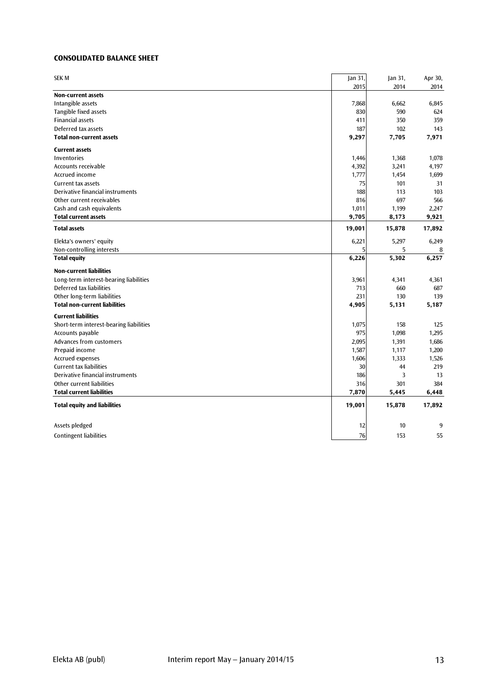#### **CONSOLIDATED BALANCE SHEET**

| <b>SEK M</b>                            | Jan 31, | Jan 31, | Apr 30, |
|-----------------------------------------|---------|---------|---------|
|                                         | 2015    | 2014    | 2014    |
| Non-current assets                      |         |         |         |
| Intangible assets                       | 7,868   | 6,662   | 6,845   |
| Tangible fixed assets                   | 830     | 590     | 624     |
| <b>Financial assets</b>                 | 411     | 350     | 359     |
| Deferred tax assets                     | 187     | 102     | 143     |
| <b>Total non-current assets</b>         | 9,297   | 7,705   | 7,971   |
| <b>Current assets</b>                   |         |         |         |
| Inventories                             | 1,446   | 1,368   | 1,078   |
| Accounts receivable                     | 4,392   | 3,241   | 4,197   |
| Accrued income                          | 1,777   | 1,454   | 1,699   |
| <b>Current tax assets</b>               | 75      | 101     | 31      |
| Derivative financial instruments        | 188     | 113     | 103     |
| Other current receivables               | 816     | 697     | 566     |
| Cash and cash equivalents               | 1,011   | 1,199   | 2,247   |
| <b>Total current assets</b>             | 9,705   | 8,173   | 9,921   |
| <b>Total assets</b>                     | 19,001  | 15,878  | 17,892  |
| Elekta's owners' equity                 | 6,221   | 5,297   | 6,249   |
| Non-controlling interests               | 5       | 5       | 8       |
| <b>Total equity</b>                     | 6,226   | 5,302   | 6,257   |
| <b>Non-current liabilities</b>          |         |         |         |
| Long-term interest-bearing liabilities  | 3,961   | 4,341   | 4,361   |
| Deferred tax liabilities                | 713     | 660     | 687     |
| Other long-term liabilities             | 231     | 130     | 139     |
| <b>Total non-current liabilities</b>    | 4,905   | 5,131   | 5,187   |
| <b>Current liabilities</b>              |         |         |         |
| Short-term interest-bearing liabilities | 1,075   | 158     | 125     |
| Accounts payable                        | 975     | 1,098   | 1,295   |
| Advances from customers                 | 2,095   | 1,391   | 1,686   |
| Prepaid income                          | 1,587   | 1,117   | 1,200   |
| <b>Accrued expenses</b>                 | 1,606   | 1,333   | 1,526   |
| <b>Current tax liabilities</b>          | 30      | 44      | 219     |
| Derivative financial instruments        | 186     | 3       | 13      |
| Other current liabilities               | 316     | 301     | 384     |
| <b>Total current liabilities</b>        | 7,870   | 5,445   | 6,448   |
| <b>Total equity and liabilities</b>     | 19,001  | 15,878  | 17,892  |
| Assets pledged                          | 12      | 10      | 9       |
| <b>Contingent liabilities</b>           | 76      | 153     | 55      |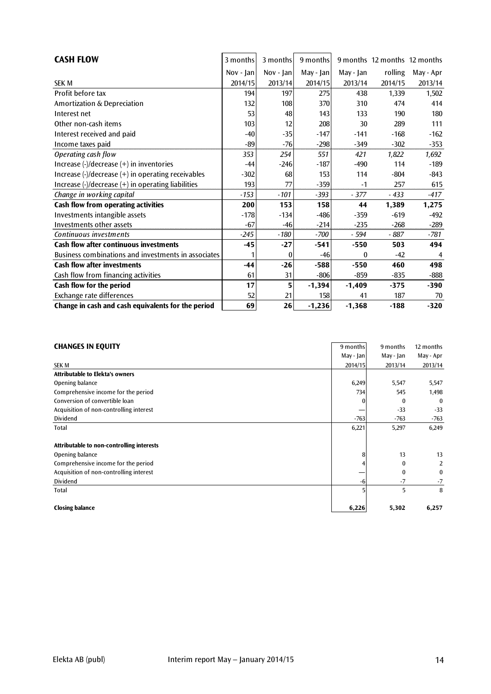| <b>CASH FLOW</b>                                                                       | 3 months    | 3 months  | 9 months     |           | 9 months 12 months 12 months |           |
|----------------------------------------------------------------------------------------|-------------|-----------|--------------|-----------|------------------------------|-----------|
|                                                                                        | $Nov - Ian$ | Nov - Jan | May - $ an $ | May - Jan | rolling                      | May - Apr |
| <b>SEK M</b>                                                                           | 2014/15     | 2013/14   | 2014/15      | 2013/14   | 2014/15                      | 2013/14   |
| Profit before tax                                                                      | 194         | 197       | 275          | 438       | 1,339                        | 1,502     |
| Amortization & Depreciation                                                            | 132         | 108       | 370          | 310       | 474                          | 414       |
| Interest net                                                                           | 53          | 48        | 143          | 133       | 190                          | 180       |
| Other non-cash items                                                                   | 103         | 12        | 208          | 30        | 289                          | 111       |
| Interest received and paid                                                             | $-40$       | $-35$     | $-147$       | $-141$    | $-168$                       | $-162$    |
| Income taxes paid                                                                      | -89         | $-76$     | $-298$       | $-349$    | $-302$                       | $-353$    |
| Operating cash flow                                                                    | 353         | 254       | 551          | 421       | 1,822                        | 1,692     |
| Increase $\left(\frac{1}{2}\right)$ decrease $\left(\frac{1}{2}\right)$ in inventories | $-44$       | $-246$    | $-187$       | $-490$    | 114                          | $-189$    |
| Increase (-)/decrease (+) in operating receivables                                     | $-302$      | 68        | 153          | 114       | $-804$                       | -843      |
| Increase (-)/decrease (+) in operating liabilities                                     | 193         | 77        | $-359$       | $-1$      | 257                          | 615       |
| Change in working capital                                                              | $-153$      | $-101$    | $-393$       | $-377$    | $-433$                       | -417      |
| Cash flow from operating activities                                                    | 200         | 153       | 158          | 44        | 1,389                        | 1,275     |
| Investments intangible assets                                                          | $-178$      | $-134$    | $-486$       | $-359$    | $-619$                       | $-492$    |
| Investments other assets                                                               | $-67$       | $-46$     | $-214$       | $-235$    | $-268$                       | $-289$    |
| Continuous investments                                                                 | $-245$      | $-180$    | $-700$       | - 594     | - 887                        | -781      |
| Cash flow after continuous investments                                                 | $-45$       | $-27$     | $-541$       | $-550$    | 503                          | 494       |
| Business combinations and investments in associates                                    |             | $\theta$  | $-46$        | $\Omega$  | $-42$                        | 4         |
| <b>Cash flow after investments</b>                                                     | $-44$       | $-26$     | $-588$       | $-550$    | 460                          | 498       |
| Cash flow from financing activities                                                    | 61          | 31        | $-806$       | $-859$    | $-835$                       | $-888$    |
| Cash flow for the period                                                               | 17          | 5         | $-1,394$     | $-1,409$  | $-375$                       | $-390$    |
| Exchange rate differences                                                              | 52          | 21        | 158          | 41        | 187                          | 70        |
| Change in cash and cash equivalents for the period                                     | 69          | 26        | $-1,236$     | $-1,368$  | $-188$                       | $-320$    |

| <b>CHANGES IN EQUITY</b>                  | 9 months  | 9 months     | 12 months        |
|-------------------------------------------|-----------|--------------|------------------|
|                                           | May - Jan | May - Jan    | May - Apr        |
| <b>SEK M</b>                              | 2014/15   | 2013/14      | 2013/14          |
| <b>Attributable to Elekta's owners</b>    |           |              |                  |
| Opening balance                           | 6,249     | 5,547        | 5,547            |
| Comprehensive income for the period       | 734       | 545          | 1,498            |
| Conversion of convertible loan            |           | $\bf{0}$     | $\boldsymbol{0}$ |
| Acquisition of non-controlling interest   |           | $-33$        | $-33$            |
| Dividend                                  | $-763$    | $-763$       | $-763$           |
| Total                                     | 6,221     | 5,297        | 6,249            |
| Attributable to non-controlling interests |           |              |                  |
| Opening balance                           | 8         | 13           | 13               |
| Comprehensive income for the period       |           | $\mathbf{0}$ | $\overline{2}$   |
| Acquisition of non-controlling interest   |           | $\mathbf{0}$ | $\bf{0}$         |
| Dividend                                  | -6        | $-7$         | $-7$             |
| Total                                     |           | 5            | 8                |
| <b>Closing balance</b>                    | 6,226     | 5,302        | 6,257            |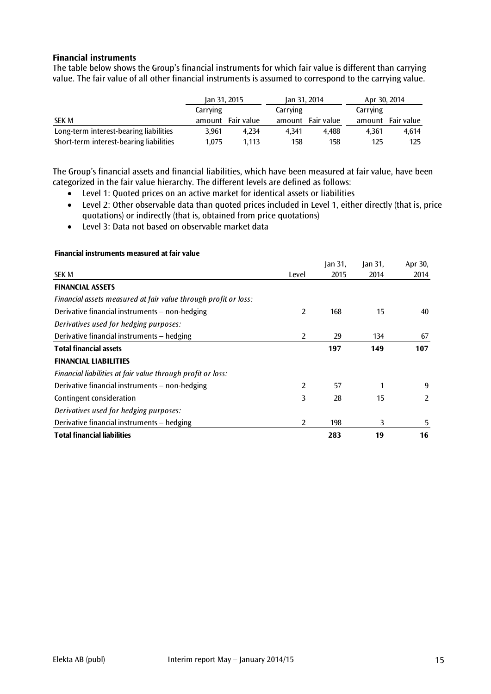#### **Financial instruments**

The table below shows the Group's financial instruments for which fair value is different than carrying value. The fair value of all other financial instruments is assumed to correspond to the carrying value.

|                                         | Jan 31, 2015 |            | Jan 31, 2014 |            | Apr 30, 2014 |            |  |
|-----------------------------------------|--------------|------------|--------------|------------|--------------|------------|--|
|                                         | Carrying     |            | Carrying     |            | Carrying     |            |  |
| <b>SEK M</b>                            | amount       | Fair value | amount       | Fair value | amount       | Fair value |  |
| Long-term interest-bearing liabilities  | 3.961        | 4.234      | 4.341        | 4.488      | 4.361        | 4.614      |  |
| Short-term interest-bearing liabilities | 1.075        | 1.113      | 158          | 158        | 125          | 125        |  |

The Group's financial assets and financial liabilities, which have been measured at fair value, have been categorized in the fair value hierarchy. The different levels are defined as follows:

- Level 1: Quoted prices on an active market for identical assets or liabilities
- Level 2: Other observable data than quoted prices included in Level 1, either directly (that is, price quotations) or indirectly (that is, obtained from price quotations)
- Level 3: Data not based on observable market data

|                                                                 |       | lan 31 | $\tan 31$ , | Apr 30, |
|-----------------------------------------------------------------|-------|--------|-------------|---------|
| <b>SEK M</b>                                                    | Level | 2015   | 2014        | 2014    |
| <b>FINANCIAL ASSETS</b>                                         |       |        |             |         |
| Financial assets measured at fair value through profit or loss: |       |        |             |         |
| Derivative financial instruments - non-hedging                  | 2     | 168    | 15          | 40      |
| Derivatives used for hedging purposes:                          |       |        |             |         |
| Derivative financial instruments - hedging                      | 2     | 29     | 134         | 67      |
| <b>Total financial assets</b>                                   |       | 197    | 149         | 107     |
| <b>FINANCIAL LIABILITIES</b>                                    |       |        |             |         |
| Financial liabilities at fair value through profit or loss:     |       |        |             |         |
| Derivative financial instruments - non-hedging                  | 2     | 57     |             | 9       |
| Contingent consideration                                        | 3     | 28     | 15          | 2       |
| Derivatives used for hedging purposes:                          |       |        |             |         |
| Derivative financial instruments - hedging                      | 2     | 198    | 3           | 5       |
| <b>Total financial liabilities</b>                              |       | 283    | 19          | 16      |

#### **Financial instruments measured at fair value**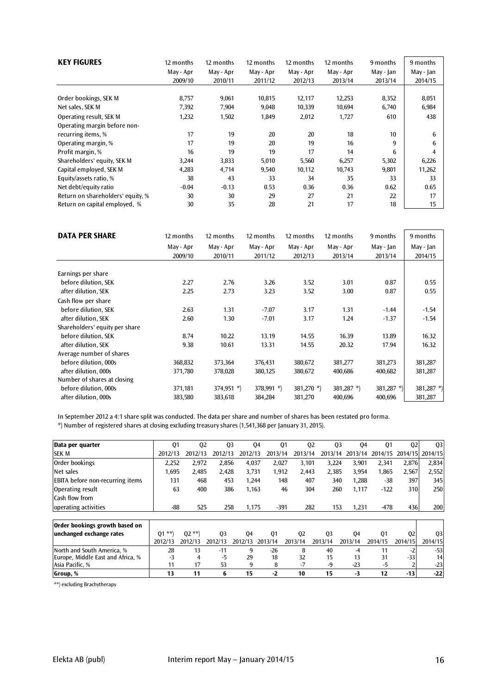| <b>KEY FIGURES</b>                                                            | 12 months     | 12 months     | 12 months   | 12 months   | 12 months   | 9 months   | 9 months         |
|-------------------------------------------------------------------------------|---------------|---------------|-------------|-------------|-------------|------------|------------------|
|                                                                               | May - Apr     | May - Apr     | May - Apr   | May - Apr   | May - Apr   | May - Jan  | May - Jan        |
|                                                                               | 2009/10       | 2010/11       | 2011/12     | 2012/13     | 2013/14     | 2013/14    | 2014/15          |
| Order bookings, SEK M                                                         | 8,757         | 9,061         | 10,815      | 12,117      | 12,253      | 8,352      | 8,051            |
| Net sales, SEK M                                                              | 7,392         | 7,904         | 9,048       | 10,339      | 10,694      | 6,740      | 6,984            |
| Operating result, SEK M<br>Operating margin before non-<br>recurring items, % | 1,232<br>17   | 1,502<br>19   | 1,849<br>20 | 2,012<br>20 | 1,727<br>18 | 610<br>10  | 438<br>6         |
| Operating margin, %                                                           | 17            | 19            | 20          | 19          | 16          | 9          | h                |
| Profit margin, %                                                              | 16            | 19            | 19          | 17          | 14          | 6          |                  |
| Shareholders' equity, SEK M                                                   | 3,244         | 3,833         | 5,010       | 5,560       | 6,257       | 5,302      | 6,226            |
| Capital employed, SEK M                                                       | 4,283         | 4,714         | 9,540       | 10,112      | 10,743      | 9,801      | 11,262           |
| Equity/assets ratio, %<br>Net debt/equity ratio                               | 38<br>$-0.04$ | 43<br>$-0.13$ | 33<br>0.53  | 34<br>0.36  | 35<br>0.36  | 33<br>0.62 | 33<br>0.65<br>17 |
| Return on shareholders' equity, %                                             | 30            | 30            | 29          | 27          | 21          | 22         | 15               |
| Return on capital employed, %                                                 | 30            | 35            | 28          | 21          | 17          | 18         |                  |

| <b>DATA PER SHARE</b>          | 12 months | 12 months    | 12 months     | 12 months     | 12 months     | 9 months   | 9 months   |
|--------------------------------|-----------|--------------|---------------|---------------|---------------|------------|------------|
|                                | May - Apr | May - Apr    | May - Apr     | May - Apr     | May - Apr     | May - Jan  | May - Jan  |
|                                | 2009/10   | 2010/11      | 2011/12       | 2012/13       | 2013/14       | 2013/14    | 2014/15    |
| Earnings per share             |           |              |               |               |               |            |            |
| before dilution, SEK           | 2.27      | 2.76         | 3.26          | 3.52          | 3.01          | 0.87       | 0.55       |
| after dilution, SEK            | 2.25      | 2.73         | 3.23          | 3.52          | 3.00          | 0.87       | 0.55       |
| Cash flow per share            |           |              |               |               |               |            |            |
| before dilution, SEK           | 2.63      | 1.31         | $-7.07$       | 3.17          | 1.31          | $-1.44$    | $-1.54$    |
| after dilution, SEK            | 2.60      | 1.30         | $-7.01$       | 3.17          | 1.24          | $-1.37$    | $-1.54$    |
| Shareholders' equity per share |           |              |               |               |               |            |            |
| before dilution, SEK           | 8.74      | 10.22        | 13.19         | 14.55         | 16.39         | 13.89      | 16.32      |
| after dilution, SEK            | 9.38      | 10.61        | 13.31         | 14.55         | 20.32         | 17.94      | 16.32      |
| Average number of shares       |           |              |               |               |               |            |            |
| before dilution, 000s          | 368,832   | 373,364      | 376,431       | 380,672       | 381,277       | 381,273    | 381,287    |
| after dilution, 000s           | 371,780   | 378,028      | 380,125       | 380,672       | 400,686       | 400,682    | 381,287    |
| Number of shares at closing    |           |              |               |               |               |            |            |
| before dilution, 000s          | 371,181   | $374,951$ *) | 378,991 $*$ ) | 381,270 $*$ ) | 381,287 $*$ ) | 381,287 *) | 381,287 *) |
| after dilution, 000s           | 383,580   | 383,618      | 384,284       | 381,270       | 400,696       | 400,696    | 381,287    |

In September 2012 a 4:1 share split was conducted. The data per share and number of shares has been restated pro forma.

\*) Number of registered shares at closing excluding treasury shares (1,541,368 per January 31, 2015).

| Data per quarter                        | Q <sub>1</sub> | Q <sub>2</sub> | Q <sub>3</sub> |         | Q4          | Q1      | Q <sub>2</sub> | Q <sub>3</sub> | 04      | Q1      | Q <sub>2</sub> | Q <sub>3</sub> |
|-----------------------------------------|----------------|----------------|----------------|---------|-------------|---------|----------------|----------------|---------|---------|----------------|----------------|
| <b>SEK M</b>                            | 2012/13        | 2012/13        | 2012/13        | 2012/13 | 2013/14     |         | 2013/14        | 2013/14        | 2013/14 | 2014/15 | 2014/15        | 2014/15        |
| Order bookings                          | 2,252          | 2.972          | 2,856          | 4.037   |             | 2,027   | 3.101          | 3.224          | 3,901   | 2,341   | 2.876          | 2,834          |
| Net sales                               | 1,695          | 2.485          | 2,428          | 3,731   |             | 1,912   | 2,443          | 2,385          | 3,954   | 1,865   | 2,567          | 2,552          |
| <b>EBITA</b> before non-recurring items | 131            | 468            | 453            | 1,244   |             | 148     | 407            | 340            | 1,288   | -38     | 397            | 345            |
| Operating result                        | 63             | 400            | 386            | 1,163   |             | 46      | 304            | 260            | 1,117   | $-122$  | 310            | 250            |
| Cash flow from                          |                |                |                |         |             |         |                |                |         |         |                |                |
| operating activities                    | $-88-$         | 525            | 258            | 1.175   |             | $-391$  | 282            | 153            | 1.231   | $-478$  | 436            | 200            |
|                                         |                |                |                |         |             |         |                |                |         |         |                |                |
| Order bookings growth based on          |                |                |                |         |             |         |                |                |         |         |                |                |
| unchanged exchange rates                | $01$ **        | $02$ **        | Q <sub>3</sub> | 04      | Q1          |         | 02             | Q <sub>3</sub> | 04      | 01      | Q <sub>2</sub> | Q <sub>3</sub> |
|                                         | 2012/13        | 2012/13        | 2012/13        | 2012/13 | 3/14<br>201 | 2013/14 |                | 2013/14        | 2013/14 | 2014/15 | 2014/15        | 2014/15        |
| North and South America, %              | 28             | 13             | $-11$          | 9       | $-26$       |         | 8              | 40             | $-4$    | 11      |                | $-53$          |
| Europe, Middle East and Africa, %       | $-3$           | 4              | $-5$           | 29      | 18          |         | 32             | 15             | 13      | 31      | $-33$          | 14             |
| Asia Pacific, %                         | 11             | 17             | 53             | 9       | 8           |         | $-7$           | $-9$           | $-23$   | $-5$    |                | $-23$          |
| Group, %                                | 13             | 11             | 6              | 15      | $-2$        | 10      |                | 15             | $-3$    | 12      | $-13$          | $-22$          |

\*\*) excluding Brachytherapy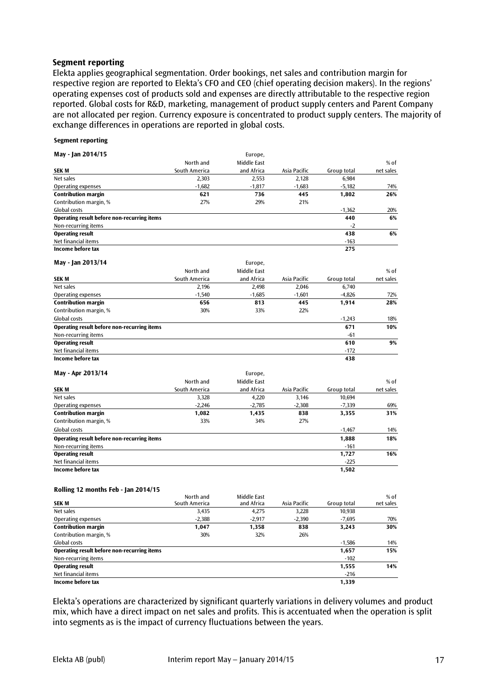#### **Segment reporting**

Elekta applies geographical segmentation. Order bookings, net sales and contribution margin for respective region are reported to Elekta's CFO and CEO (chief operating decision makers). In the regions' operating expenses cost of products sold and expenses are directly attributable to the respective region reported. Global costs for R&D, marketing, management of product supply centers and Parent Company are not allocated per region. Currency exposure is concentrated to product supply centers. The majority of exchange differences in operations are reported in global costs.

#### **Segment reporting**

| May - Jan 2014/15                           |               | Europe,     |              |             |           |
|---------------------------------------------|---------------|-------------|--------------|-------------|-----------|
|                                             | North and     | Middle East |              |             | $%$ of    |
| <b>SEK M</b>                                | South America | and Africa  | Asia Pacific | Group total | net sales |
| Net sales                                   | 2,303         | 2,553       | 2.128        | 6,984       |           |
| Operating expenses                          | $-1.682$      | $-1,817$    | $-1.683$     | $-5.182$    | 74%       |
| <b>Contribution margin</b>                  | 621           | 736         | 445          | 1,802       | 26%       |
| Contribution margin, %                      | 27%           | 29%         | 21%          |             |           |
| Global costs                                |               |             |              | $-1,362$    | 20%       |
| Operating result before non-recurring items |               |             |              | 440         | 6%        |
| Non-recurring items                         |               |             |              | $-2$        |           |
| <b>Operating result</b>                     |               |             |              | 438         | 6%        |
| Net financial items                         |               |             |              | $-163$      |           |
| Income before tax                           |               |             |              | 275         |           |
| May - Jan 2013/14                           |               | Europe,     |              |             |           |
|                                             | North and     | Middle East |              |             | % of      |
| <b>SEKM</b>                                 | South America | and Africa  | Asia Pacific | Group total | net sales |
| Net sales                                   | 2,196         | 2,498       | 2.046        | 6.740       |           |
| Operating expenses                          | $-1,540$      | $-1,685$    | $-1,601$     | $-4,826$    | 72%       |
| <b>Contribution margin</b>                  | 656           | 813         | 445          | 1,914       | 28%       |
| Contribution margin, %                      | 30%           | 33%         | 22%          |             |           |
| Global costs                                |               |             |              | $-1.243$    | 18%       |
| Operating result before non-recurring items |               |             |              | 671         | 10%       |
| Non-recurring items                         |               |             |              | $-61$       |           |
| <b>Operating result</b>                     |               |             |              | 610         | 9%        |
| Net financial items                         |               |             |              | $-172$      |           |
| Income before tax                           |               |             |              | 438         |           |
| May - Apr 2013/14                           |               | Europe,     |              |             |           |
|                                             | North and     | Middle East |              |             | $%$ of    |
| <b>SEK M</b>                                | South America | and Africa  | Asia Pacific | Group total | net sales |
| Net sales                                   | 3,328         | 4,220       | 3,146        | 10,694      |           |
| Operating expenses                          | $-2,246$      | $-2,785$    | $-2,308$     | $-7,339$    | 69%       |
| <b>Contribution margin</b>                  | 1,082         | 1,435       | 838          | 3,355       | 31%       |
| Contribution margin, %                      | 33%           | 34%         | 27%          |             |           |
| Global costs                                |               |             |              | $-1,467$    | 14%       |
| Onerating recult hefere non recurring items |               |             |              | 1 000       | 100/      |

**Operating result before non-recurring items 1,888 18%** Non-recurring items -161 **Operating result 1,727 16%** Net financial items **-225 Income before tax 1,502**

#### **Rolling 12 months Feb - Jan 2014/15**

|                                             | North and     | Middle East |              |             | $%$ of    |
|---------------------------------------------|---------------|-------------|--------------|-------------|-----------|
| SEK M                                       | South America | and Africa  | Asia Pacific | Group total | net sales |
| Net sales                                   | 3,435         | 4.275       | 3,228        | 10,938      |           |
| Operating expenses                          | $-2,388$      | $-2,917$    | $-2,390$     | -7,695      | 70%       |
| <b>Contribution margin</b>                  | 1,047         | 1,358       | 838          | 3,243       | 30%       |
| Contribution margin, %                      | 30%           | 32%         | 26%          |             |           |
| Global costs                                |               |             |              | $-1,586$    | 14%       |
| Operating result before non-recurring items |               |             |              | 1,657       | 15%       |
| Non-recurring items                         |               |             |              | $-102$      |           |
| <b>Operating result</b>                     |               |             |              | 1,555       | 14%       |
| Net financial items                         |               |             |              | $-216$      |           |
| Income before tax                           |               |             |              | 1,339       |           |

Elekta's operations are characterized by significant quarterly variations in delivery volumes and product mix, which have a direct impact on net sales and profits. This is accentuated when the operation is split into segments as is the impact of currency fluctuations between the years.